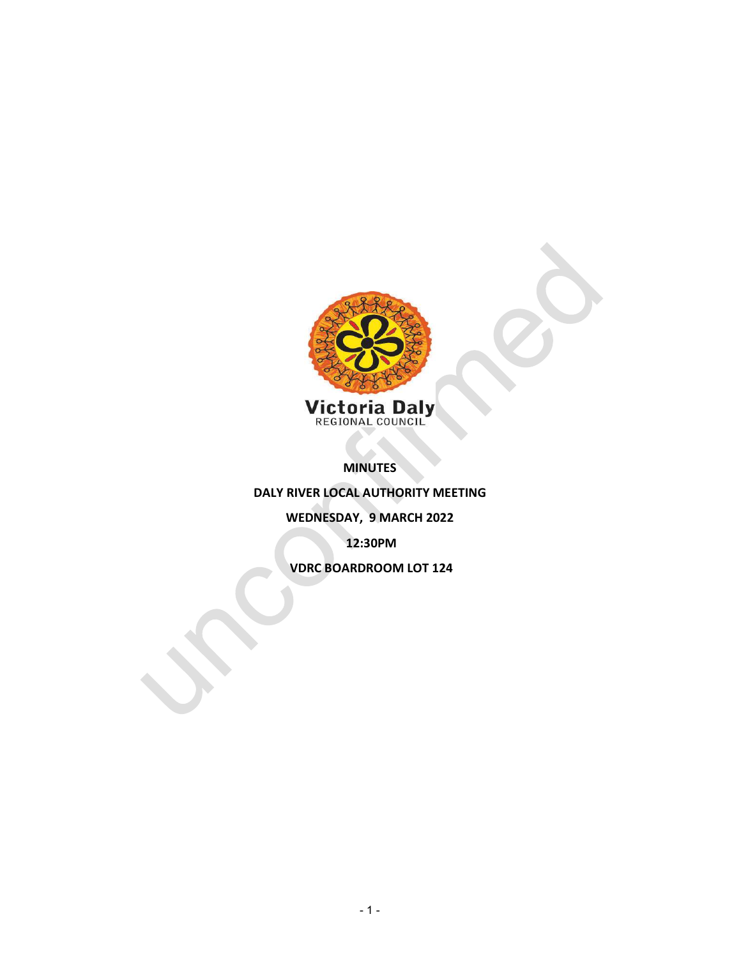

MINUTES

DALY RIVER LOCAL AUTHORITY MEETING

WEDNESDAY, 9 MARCH 2022

12:30PM

VDRC BOARDROOM LOT 124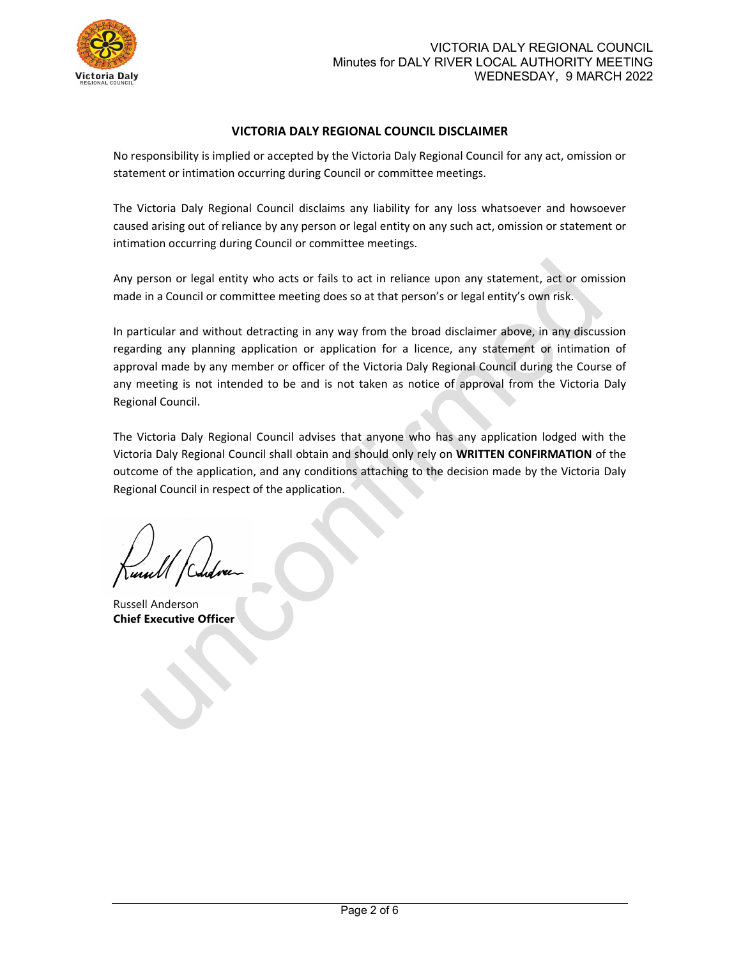

## VICTORIA DALY REGIONAL COUNCIL DISCLAIMER

No responsibility is implied or accepted by the Victoria Daly Regional Council for any act, omission or statement or intimation occurring during Council or committee meetings.

The Victoria Daly Regional Council disclaims any liability for any loss whatsoever and howsoever caused arising out of reliance by any person or legal entity on any such act, omission or statement or intimation occurring during Council or committee meetings.

Any person or legal entity who acts or fails to act in reliance upon any statement, act or omission made in a Council or committee meeting does so at that person's or legal entity's own risk.

In particular and without detracting in any way from the broad disclaimer above, in any discussion regarding any planning application or application for a licence, any statement or intimation of approval made by any member or officer of the Victoria Daly Regional Council during the Course of any meeting is not intended to be and is not taken as notice of approval from the Victoria Daly Regional Council.

The Victoria Daly Regional Council advises that anyone who has any application lodged with the Victoria Daly Regional Council shall obtain and should only rely on WRITTEN CONFIRMATION of the outcome of the application, and any conditions attaching to the decision made by the Victoria Daly Regional Council in respect of the application.

Russell Anderson Chief Executive Officer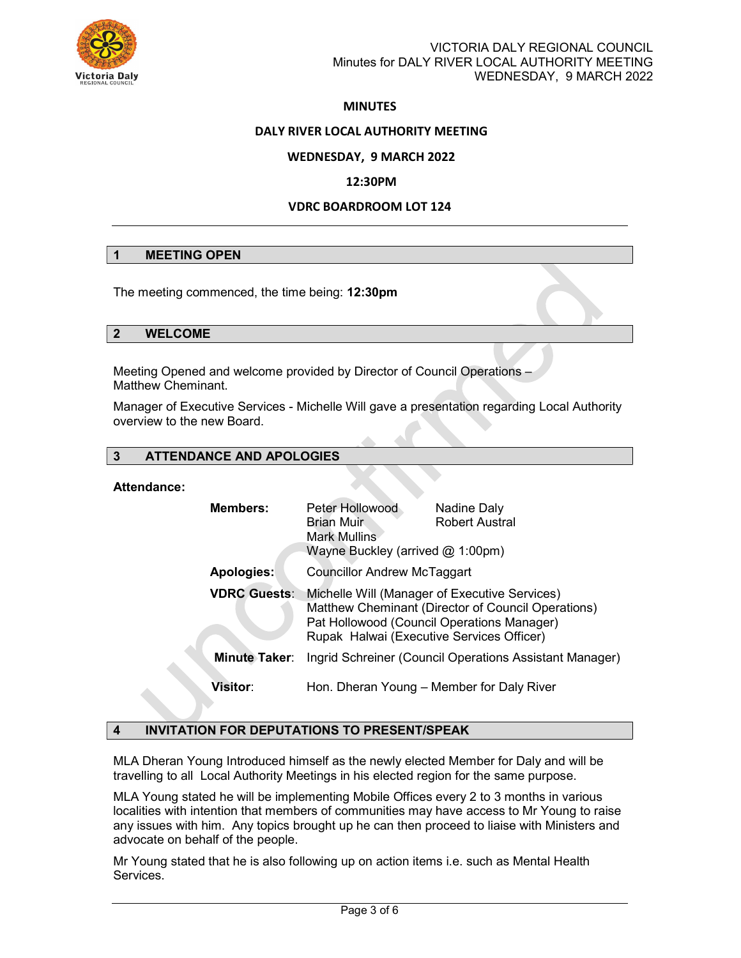

## **MINUTES**

### DALY RIVER LOCAL AUTHORITY MEETING

### WEDNESDAY, 9 MARCH 2022

#### 12:30PM

### VDRC BOARDROOM LOT 124

### 1 MEETING OPEN

The meeting commenced, the time being: 12:30pm

#### 2 WELCOME

Meeting Opened and welcome provided by Director of Council Operations – Matthew Cheminant.

Manager of Executive Services - Michelle Will gave a presentation regarding Local Authority overview to the new Board.

### 3 ATTENDANCE AND APOLOGIES

### Attendance:

| <b>Members:</b>      | Peter Hollowood<br><b>Brian Muir</b><br>Mark Mullins<br>Wayne Buckley (arrived $@$ 1:00pm)                                                                                                     | Nadine Daly<br><b>Robert Austral</b>                    |
|----------------------|------------------------------------------------------------------------------------------------------------------------------------------------------------------------------------------------|---------------------------------------------------------|
| Apologies:           | <b>Councillor Andrew McTaggart</b>                                                                                                                                                             |                                                         |
| <b>VDRC Guests:</b>  | Michelle Will (Manager of Executive Services)<br>Matthew Cheminant (Director of Council Operations)<br>Pat Hollowood (Council Operations Manager)<br>Rupak Halwai (Executive Services Officer) |                                                         |
| <b>Minute Taker:</b> |                                                                                                                                                                                                | Ingrid Schreiner (Council Operations Assistant Manager) |
| <b>Visitor:</b>      |                                                                                                                                                                                                | Hon. Dheran Young - Member for Daly River               |

#### 4 INVITATION FOR DEPUTATIONS TO PRESENT/SPEAK

MLA Dheran Young Introduced himself as the newly elected Member for Daly and will be travelling to all Local Authority Meetings in his elected region for the same purpose.

MLA Young stated he will be implementing Mobile Offices every 2 to 3 months in various localities with intention that members of communities may have access to Mr Young to raise any issues with him. Any topics brought up he can then proceed to liaise with Ministers and advocate on behalf of the people.

Mr Young stated that he is also following up on action items i.e. such as Mental Health Services.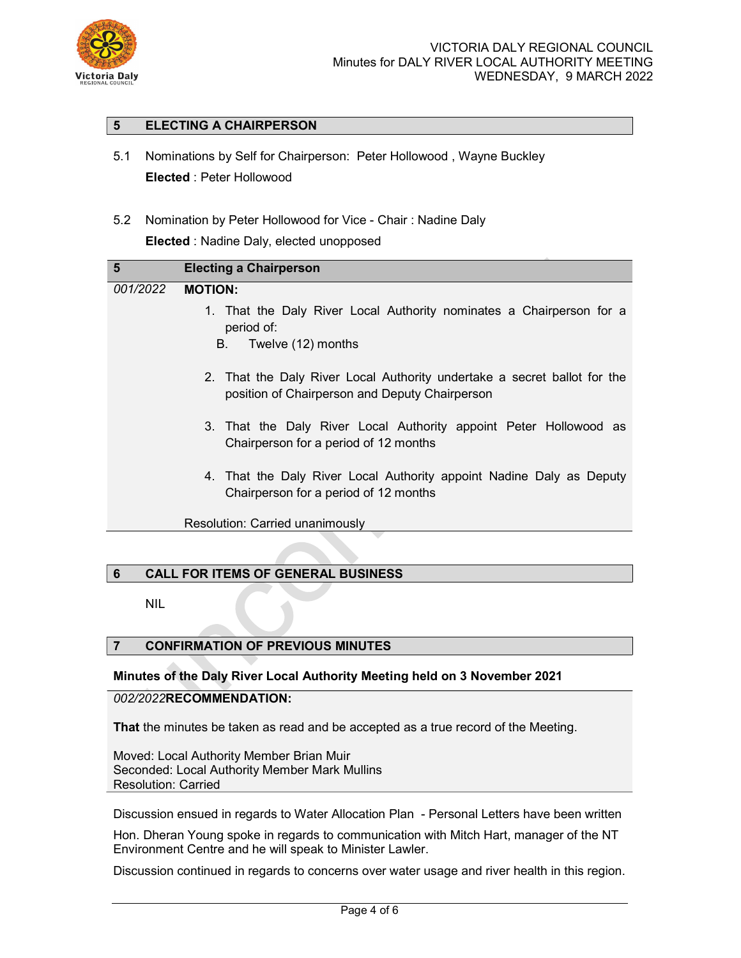

## 5 ELECTING A CHAIRPERSON

- 5.1 Nominations by Self for Chairperson: Peter Hollowood , Wayne Buckley Elected : Peter Hollowood
- 5.2 Nomination by Peter Hollowood for Vice Chair : Nadine Daly

Elected : Nadine Daly, elected unopposed

| 5        | <b>Electing a Chairperson</b>                                                                                              |
|----------|----------------------------------------------------------------------------------------------------------------------------|
| 001/2022 | <b>MOTION:</b>                                                                                                             |
|          | 1. That the Daly River Local Authority nominates a Chairperson for a<br>period of:                                         |
|          | Twelve (12) months<br>B.                                                                                                   |
|          | 2. That the Daly River Local Authority undertake a secret ballot for the<br>position of Chairperson and Deputy Chairperson |
|          | 3. That the Daly River Local Authority appoint Peter Hollowood as<br>Chairperson for a period of 12 months                 |
|          | 4. That the Daly River Local Authority appoint Nadine Daly as Deputy<br>Chairperson for a period of 12 months              |
|          | Resolution: Carried unanimously                                                                                            |

# 6 CALL FOR ITEMS OF GENERAL BUSINESS

NIL

# 7 CONFIRMATION OF PREVIOUS MINUTES

## Minutes of the Daly River Local Authority Meeting held on 3 November 2021

## 002/2022RECOMMENDATION:

That the minutes be taken as read and be accepted as a true record of the Meeting.

Moved: Local Authority Member Brian Muir Seconded: Local Authority Member Mark Mullins Resolution: Carried

Discussion ensued in regards to Water Allocation Plan - Personal Letters have been written

Hon. Dheran Young spoke in regards to communication with Mitch Hart, manager of the NT Environment Centre and he will speak to Minister Lawler.

Discussion continued in regards to concerns over water usage and river health in this region.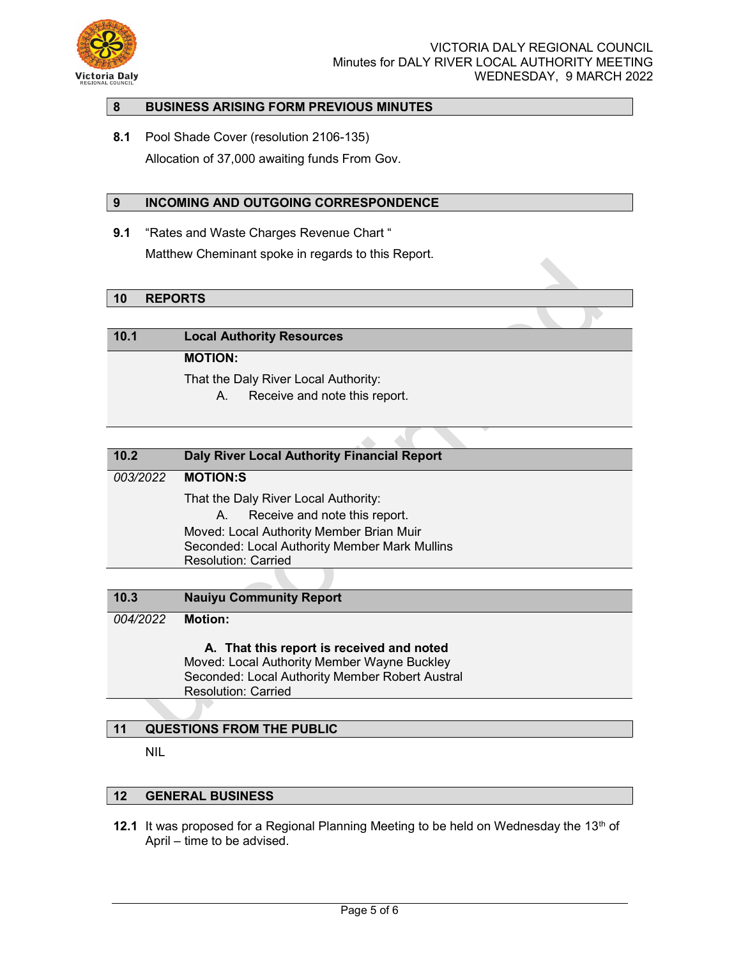

## 8 BUSINESS ARISING FORM PREVIOUS MINUTES

8.1 Pool Shade Cover (resolution 2106-135) Allocation of 37,000 awaiting funds From Gov.

## 9 INCOMING AND OUTGOING CORRESPONDENCE

9.1 "Rates and Waste Charges Revenue Chart" Matthew Cheminant spoke in regards to this Report.

## 10 REPORTS

10.1 Local Authority Resources

## MOTION:

That the Daly River Local Authority:

A. Receive and note this report.

| 10.2     | <b>Daly River Local Authority Financial Report</b> |
|----------|----------------------------------------------------|
| 003/2022 | <b>MOTION:S</b>                                    |
|          | That the Daly River Local Authority:               |
|          | Receive and note this report.<br>A.                |
|          | Moved: Local Authority Member Brian Muir           |
|          | Seconded: Local Authority Member Mark Mullins      |
|          | <b>Resolution: Carried</b>                         |
|          |                                                    |

 $\Delta \lambda$ 

10.3 Nauiyu Community Report

004/2022 Motion:

A. That this report is received and noted

Moved: Local Authority Member Wayne Buckley Seconded: Local Authority Member Robert Austral Resolution: Carried

## 11 QUESTIONS FROM THE PUBLIC

NIL

#### 12 GENERAL BUSINESS

**12.1** It was proposed for a Regional Planning Meeting to be held on Wednesday the 13<sup>th</sup> of April – time to be advised.